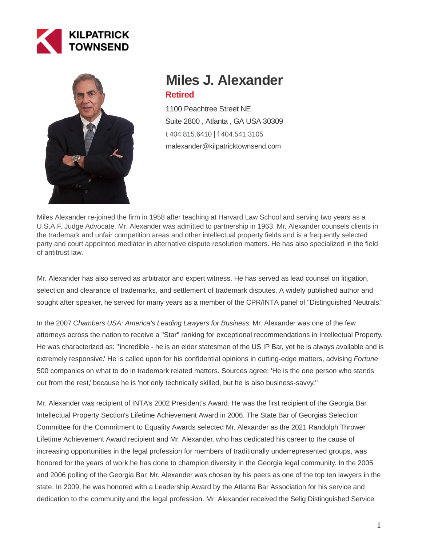



# **Miles J. Alexander Retired**

1100 Peachtree Street NE Suite 2800 , Atlanta , GA USA 30309 [t 404.815.6410](tel:404.815.6410) | [f 404.541.3105](fax:404.541.3105) malexander@kilpatricktownsend.com

Miles Alexander re-joined the firm in 1958 after teaching at Harvard Law School and serving two years as a U.S.A.F. Judge Advocate. Mr. Alexander was admitted to partnership in 1963. Mr. Alexander counsels clients in the trademark and unfair competition areas and other intellectual property fields and is a frequently selected party and court appointed mediator in alternative dispute resolution matters. He has also specialized in the field of antitrust law.

Mr. Alexander has also served as arbitrator and expert witness. He has served as lead counsel on litigation, selection and clearance of trademarks, and settlement of trademark disputes. A widely published author and sought after speaker, he served for many years as a member of the CPR/INTA panel of "Distinguished Neutrals."

In the 2007 Chambers USA: America's Leading Lawyers for Business, Mr. Alexander was one of the few attorneys across the nation to receive a "Star" ranking for exceptional recommendations in Intellectual Property. He was characterized as: "'incredible - he is an elder statesman of the US IP Bar, yet he is always available and is extremely responsive.' He is called upon for his confidential opinions in cutting-edge matters, advising Fortune 500 companies on what to do in trademark related matters. Sources agree: 'He is the one person who stands out from the rest,' because he is 'not only technically skilled, but he is also business-savvy."

Mr. Alexander was recipient of INTA's 2002 President's Award. He was the first recipient of the Georgia Bar Intellectual Property Section's Lifetime Achievement Award in 2006. The State Bar of Georgia's Selection Committee for the Commitment to Equality Awards selected Mr. Alexander as the 2021 Randolph Thrower Lifetime Achievement Award recipient and Mr. Alexander, who has dedicated his career to the cause of increasing opportunities in the legal profession for members of traditionally underrepresented groups, was honored for the years of work he has done to champion diversity in the Georgia legal community. In the 2005 and 2006 polling of the Georgia Bar, Mr. Alexander was chosen by his peers as one of the top ten lawyers in the state. In 2009, he was honored with a Leadership Award by the Atlanta Bar Association for his service and dedication to the community and the legal profession. Mr. Alexander received the Selig Distinguished Service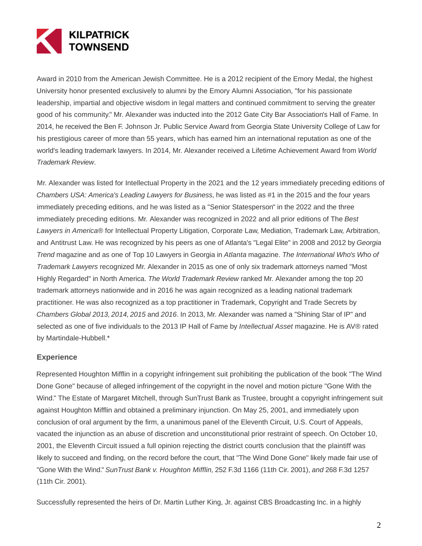

Award in 2010 from the American Jewish Committee. He is a 2012 recipient of the Emory Medal, the highest University honor presented exclusively to alumni by the Emory Alumni Association, "for his passionate leadership, impartial and objective wisdom in legal matters and continued commitment to serving the greater good of his community." Mr. Alexander was inducted into the 2012 Gate City Bar Association's Hall of Fame. In 2014, he received the Ben F. Johnson Jr. Public Service Award from Georgia State University College of Law for his prestigious career of more than 55 years, which has earned him an international reputation as one of the world's leading trademark lawyers. In 2014, Mr. Alexander received a Lifetime Achievement Award from World Trademark Review.

Mr. Alexander was listed for Intellectual Property in the 2021 and the 12 years immediately preceding editions of Chambers USA: America's Leading Lawyers for Business, he was listed as #1 in the 2015 and the four years immediately preceding editions, and he was listed as a "Senior Statesperson" in the 2022 and the three immediately preceding editions. Mr. Alexander was recognized in 2022 and all prior editions of The Best Lawyers in America® for Intellectual Property Litigation, Corporate Law, Mediation, Trademark Law, Arbitration, and Antitrust Law. He was recognized by his peers as one of Atlanta's "Legal Elite" in 2008 and 2012 by Georgia Trend magazine and as one of Top 10 Lawyers in Georgia in Atlanta magazine. The International Who's Who of Trademark Lawyers recognized Mr. Alexander in 2015 as one of only six trademark attorneys named "Most Highly Regarded" in North America. The World Trademark Review ranked Mr. Alexander among the top 20 trademark attorneys nationwide and in 2016 he was again recognized as a leading national trademark practitioner. He was also recognized as a top practitioner in Trademark, Copyright and Trade Secrets by Chambers Global 2013, 2014, 2015 and 2016. In 2013, Mr. Alexander was named a "Shining Star of IP" and selected as one of five individuals to the 2013 IP Hall of Fame by Intellectual Asset magazine. He is AV® rated by Martindale-Hubbell.\*

# **Experience**

Represented Houghton Mifflin in a copyright infringement suit prohibiting the publication of the book "The Wind Done Gone" because of alleged infringement of the copyright in the novel and motion picture "Gone With the Wind." The Estate of Margaret Mitchell, through SunTrust Bank as Trustee, brought a copyright infringement suit against Houghton Mifflin and obtained a preliminary injunction. On May 25, 2001, and immediately upon conclusion of oral argument by the firm, a unanimous panel of the Eleventh Circuit, U.S. Court of Appeals, vacated the injunction as an abuse of discretion and unconstitutional prior restraint of speech. On October 10, 2001, the Eleventh Circuit issued a full opinion rejecting the district courts conclusion that the plaintiff was likely to succeed and finding, on the record before the court, that "The Wind Done Gone" likely made fair use of "Gone With the Wind." SunTrust Bank v. Houghton Mifflin, 252 F.3d 1166 (11th Cir. 2001), and 268 F.3d 1257 (11th Cir. 2001).

Successfully represented the heirs of Dr. Martin Luther King, Jr. against CBS Broadcasting Inc. in a highly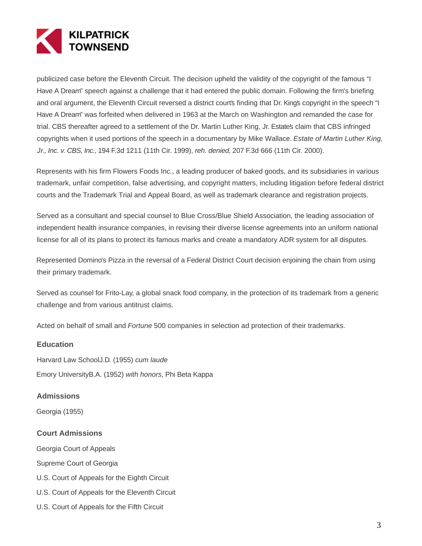

publicized case before the Eleventh Circuit. The decision upheld the validity of the copyright of the famous "I Have A Dream" speech against a challenge that it had entered the public domain. Following the firm's briefing and oral argument, the Eleventh Circuit reversed a district courts finding that Dr. Kings copyright in the speech "I Have A Dream" was forfeited when delivered in 1963 at the March on Washington and remanded the case for trial. CBS thereafter agreed to a settlement of the Dr. Martin Luther King, Jr. Estates claim that CBS infringed copyrights when it used portions of the speech in a documentary by Mike Wallace. Estate of Martin Luther King, Jr., Inc. v. CBS, Inc., 194 F.3d 1211 (11th Cir. 1999), reh. denied, 207 F.3d 666 (11th Cir. 2000).

Represents with his firm Flowers Foods Inc., a leading producer of baked goods, and its subsidiaries in various trademark, unfair competition, false advertising, and copyright matters, including litigation before federal district courts and the Trademark Trial and Appeal Board, as well as trademark clearance and registration projects.

Served as a consultant and special counsel to Blue Cross/Blue Shield Association, the leading association of independent health insurance companies, in revising their diverse license agreements into an uniform national license for all of its plans to protect its famous marks and create a mandatory ADR system for all disputes.

Represented Domino's Pizza in the reversal of a Federal District Court decision enjoining the chain from using their primary trademark.

Served as counsel for Frito-Lay, a global snack food company, in the protection of its trademark from a generic challenge and from various antitrust claims.

Acted on behalf of small and Fortune 500 companies in selection ad protection of their trademarks.

## **Education**

Harvard Law SchoolJ.D. (1955) cum laude Emory UniversityB.A. (1952) with honors, Phi Beta Kappa

# **Admissions**

Georgia (1955)

# **Court Admissions**

Georgia Court of Appeals

Supreme Court of Georgia

- U.S. Court of Appeals for the Eighth Circuit
- U.S. Court of Appeals for the Eleventh Circuit
- U.S. Court of Appeals for the Fifth Circuit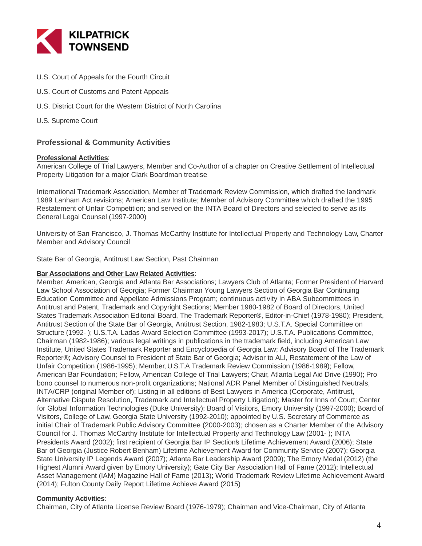

- U.S. Court of Appeals for the Fourth Circuit
- U.S. Court of Customs and Patent Appeals
- U.S. District Court for the Western District of North Carolina
- U.S. Supreme Court

# **Professional & Community Activities**

#### **Professional Activities**:

American College of Trial Lawyers, Member and Co-Author of a chapter on Creative Settlement of Intellectual Property Litigation for a major Clark Boardman treatise

International Trademark Association, Member of Trademark Review Commission, which drafted the landmark 1989 Lanham Act revisions; American Law Institute; Member of Advisory Committee which drafted the 1995 Restatement of Unfair Competition; and served on the INTA Board of Directors and selected to serve as its General Legal Counsel (1997-2000)

University of San Francisco, J. Thomas McCarthy Institute for Intellectual Property and Technology Law, Charter Member and Advisory Council

State Bar of Georgia, Antitrust Law Section, Past Chairman

## **Bar Associations and Other Law Related Activities**:

Member, American, Georgia and Atlanta Bar Associations; Lawyers Club of Atlanta; Former President of Harvard Law School Association of Georgia; Former Chairman Young Lawyers Section of Georgia Bar Continuing Education Committee and Appellate Admissions Program; continuous activity in ABA Subcommittees in Antitrust and Patent, Trademark and Copyright Sections; Member 1980-1982 of Board of Directors, United States Trademark Association Editorial Board, The Trademark Reporter®, Editor-in-Chief (1978-1980); President, Antitrust Section of the State Bar of Georgia, Antitrust Section, 1982-1983; U.S.T.A. Special Committee on Structure (1992- ); U.S.T.A. Ladas Award Selection Committee (1993-2017); U.S.T.A. Publications Committee, Chairman (1982-1986); various legal writings in publications in the trademark field, including American Law Institute, United States Trademark Reporter and Encyclopedia of Georgia Law; Advisory Board of The Trademark Reporter®; Advisory Counsel to President of State Bar of Georgia; Advisor to ALI, Restatement of the Law of Unfair Competition (1986-1995); Member, U.S.T.A Trademark Review Commission (1986-1989); Fellow, American Bar Foundation; Fellow, American College of Trial Lawyers; Chair, Atlanta Legal Aid Drive (1990); Pro bono counsel to numerous non-profit organizations; National ADR Panel Member of Distinguished Neutrals, INTA/CRP (original Member of); Listing in all editions of Best Lawyers in America (Corporate, Antitrust, Alternative Dispute Resolution, Trademark and Intellectual Property Litigation); Master for Inns of Court; Center for Global Information Technologies (Duke University); Board of Visitors, Emory University (1997-2000); Board of Visitors, College of Law, Georgia State University (1992-2010); appointed by U.S. Secretary of Commerce as initial Chair of Trademark Public Advisory Committee (2000-2003); chosen as a Charter Member of the Advisory Council for J. Thomas McCarthy Institute for Intellectual Property and Technology Law (2001- ); INTA President's Award (2002); first recipient of Georgia Bar IP Section's Lifetime Achievement Award (2006); State Bar of Georgia (Justice Robert Benham) Lifetime Achievement Award for Community Service (2007); Georgia State University IP Legends Award (2007); Atlanta Bar Leadership Award (2009); The Emory Medal (2012) (the Highest Alumni Award given by Emory University); Gate City Bar Association Hall of Fame (2012); Intellectual Asset Management (IAM) Magazine Hall of Fame (2013); World Trademark Review Lifetime Achievement Award (2014); Fulton County Daily Report Lifetime Achieve Award (2015)

## **Community Activities**:

Chairman, City of Atlanta License Review Board (1976-1979); Chairman and Vice-Chairman, City of Atlanta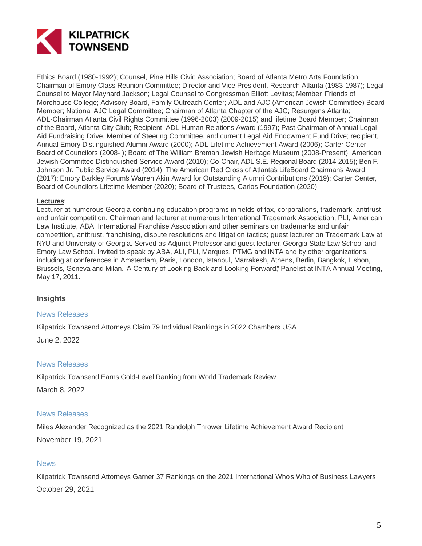

Ethics Board (1980-1992); Counsel, Pine Hills Civic Association; Board of Atlanta Metro Arts Foundation; Chairman of Emory Class Reunion Committee; Director and Vice President, Research Atlanta (1983-1987); Legal Counsel to Mayor Maynard Jackson; Legal Counsel to Congressman Elliott Levitas; Member, Friends of Morehouse College; Advisory Board, Family Outreach Center; ADL and AJC (American Jewish Committee) Board Member; National AJC Legal Committee; Chairman of Atlanta Chapter of the AJC; Resurgens Atlanta; ADL-Chairman Atlanta Civil Rights Committee (1996-2003) (2009-2015) and lifetime Board Member; Chairman of the Board, Atlanta City Club; Recipient, ADL Human Relations Award (1997); Past Chairman of Annual Legal Aid Fundraising Drive, Member of Steering Committee, and current Legal Aid Endowment Fund Drive; recipient, Annual Emory Distinguished Alumni Award (2000); ADL Lifetime Achievement Award (2006); Carter Center Board of Councilors (2008- ); Board of The William Breman Jewish Heritage Museum (2008-Present); American Jewish Committee Distinguished Service Award (2010); Co-Chair, ADL S.E. Regional Board (2014-2015); Ben F. Johnson Jr. Public Service Award (2014); The American Red Cross of Atlanta's LifeBoard Chairman's Award (2017); Emory Barkley Forum's Warren Akin Award for Outstanding Alumni Contributions (2019); Carter Center, Board of Councilors Lifetime Member (2020); Board of Trustees, Carlos Foundation (2020)

# **Lectures**:

Lecturer at numerous Georgia continuing education programs in fields of tax, corporations, trademark, antitrust and unfair competition. Chairman and lecturer at numerous International Trademark Association, PLI, American Law Institute, ABA, International Franchise Association and other seminars on trademarks and unfair competition, antitrust, franchising, dispute resolutions and litigation tactics; guest lecturer on Trademark Law at NYU and University of Georgia. Served as Adjunct Professor and guest lecturer, Georgia State Law School and Emory Law School. Invited to speak by ABA, ALI, PLI, Marques, PTMG and INTA and by other organizations, including at conferences in Amsterdam, Paris, London, Istanbul, Marrakesh, Athens, Berlin, Bangkok, Lisbon, Brussels, Geneva and Milan. "A Century of Looking Back and Looking Forward," Panelist at INTA Annual Meeting, May 17, 2011.

# **Insights**

# News Releases

Kilpatrick Townsend Attorneys Claim 79 Individual Rankings in 2022 Chambers USA

June 2, 2022

## News Releases

Kilpatrick Townsend Earns Gold-Level Ranking from World Trademark Review

March 8, 2022

# News Releases

Miles Alexander Recognized as the 2021 Randolph Thrower Lifetime Achievement Award Recipient November 19, 2021

# **News**

Kilpatrick Townsend Attorneys Garner 37 Rankings on the 2021 International Who's Who of Business Lawyers October 29, 2021